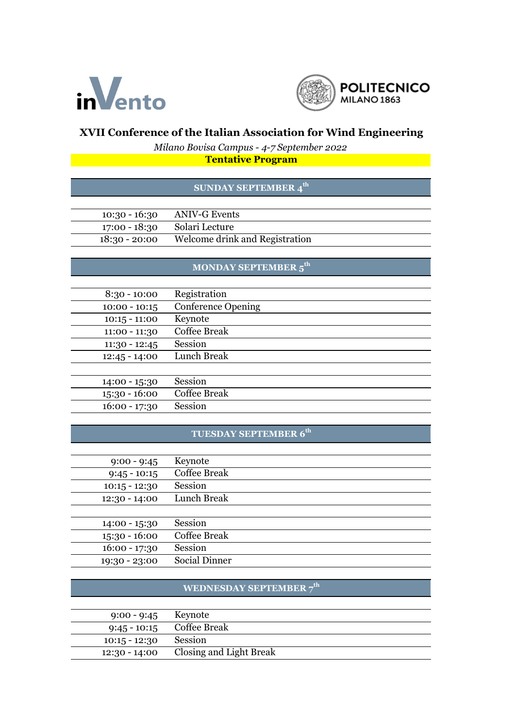



### **XVII Conference of the Italian Association for Wind Engineering**

*Milano Bovisa Campus - 4-7 September 2022*

**Tentative Program**

#### **SUNDAY SEPTEMBER 4th**

| $10:30 - 16:30$ | <b>ANIV-G Events</b>           |  |
|-----------------|--------------------------------|--|
| 17:00 - 18:30   | Solari Lecture                 |  |
| $18:30 - 20:00$ | Welcome drink and Registration |  |

### **MONDAY SEPTEMBER 5th**

| $8:30 - 10:00$  | Registration              |
|-----------------|---------------------------|
| $10:00 - 10:15$ | <b>Conference Opening</b> |
| $10:15 - 11:00$ | Keynote                   |
| $11:00 - 11:30$ | Coffee Break              |
| $11:30 - 12:45$ | Session                   |
| $12:45 - 14:00$ | Lunch Break               |
|                 |                           |
| 14:00 - 15:30   | Session                   |
| $15:30 - 16:00$ | Coffee Break              |
| $16:00 - 17:30$ | Session                   |

## **TUESDAY SEPTEMBER 6th**

| $9:00 - 9:45$   | Keynote              |
|-----------------|----------------------|
| $9:45 - 10:15$  | Coffee Break         |
| $10:15 - 12:30$ | Session              |
| $12:30 - 14:00$ | Lunch Break          |
|                 |                      |
| 14:00 - 15:30   | Session              |
| $15:30 - 16:00$ | Coffee Break         |
| $16:00 - 17:30$ | Session              |
| 19:30 - 23:00   | <b>Social Dinner</b> |
|                 |                      |

## **WEDNESDAY SEPTEMBER 7th**

| 9:00 - 9:45 Keynote |                             |
|---------------------|-----------------------------|
|                     | $9:45 - 10:15$ Coffee Break |
| $10:15 - 12:30$     | Session                     |
| $12:30 - 14:00$     | Closing and Light Break     |